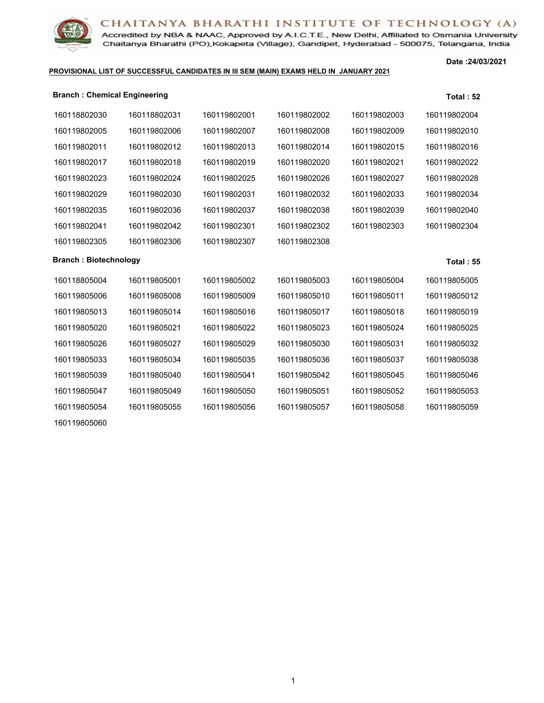

Accredited by NBA & NAAC, Approved by A.I.C.T.E., New Delhi, Affiliated to Osmania University Chaitanya Bharathi (PO), Kokapeta (Village), Gandipet, Hyderabad - 500075, Telangana, India

#### **PROVISIONAL LIST OF SUCCESSFUL CANDIDATES IN III SEM (MAIN) EXAMS HELD IN JANUARY 2021**

**Date :24/03/2021**

| <b>Branch: Chemical Engineering</b> |              |              |              |              | <b>Total: 52</b> |
|-------------------------------------|--------------|--------------|--------------|--------------|------------------|
| 160118802030                        | 160118802031 | 160119802001 | 160119802002 | 160119802003 | 160119802004     |
| 160119802005                        | 160119802006 | 160119802007 | 160119802008 | 160119802009 | 160119802010     |
| 160119802011                        | 160119802012 | 160119802013 | 160119802014 | 160119802015 | 160119802016     |
| 160119802017                        | 160119802018 | 160119802019 | 160119802020 | 160119802021 | 160119802022     |
| 160119802023                        | 160119802024 | 160119802025 | 160119802026 | 160119802027 | 160119802028     |
| 160119802029                        | 160119802030 | 160119802031 | 160119802032 | 160119802033 | 160119802034     |
| 160119802035                        | 160119802036 | 160119802037 | 160119802038 | 160119802039 | 160119802040     |
| 160119802041                        | 160119802042 | 160119802301 | 160119802302 | 160119802303 | 160119802304     |
| 160119802305                        | 160119802306 | 160119802307 | 160119802308 |              |                  |
| <b>Branch: Biotechnology</b>        |              |              |              |              | <b>Total: 55</b> |
| 160118805004                        | 160119805001 | 160119805002 | 160119805003 | 160119805004 | 160119805005     |
| 160119805006                        | 160119805008 | 160119805009 | 160119805010 | 160119805011 | 160119805012     |
| 160119805013                        | 160119805014 | 160119805016 | 160119805017 | 160119805018 | 160119805019     |
| 160119805020                        | 160119805021 | 160119805022 | 160119805023 | 160119805024 | 160119805025     |
| 160119805026                        | 160119805027 | 160119805029 | 160119805030 | 160119805031 | 160119805032     |
| 160119805033                        | 160119805034 | 160119805035 | 160119805036 | 160119805037 | 160119805038     |
| 160119805039                        | 160119805040 | 160119805041 | 160119805042 | 160119805045 | 160119805046     |
| 160119805047                        | 160119805049 | 160119805050 | 160119805051 | 160119805052 | 160119805053     |
| 160119805054                        | 160119805055 | 160119805056 | 160119805057 | 160119805058 | 160119805059     |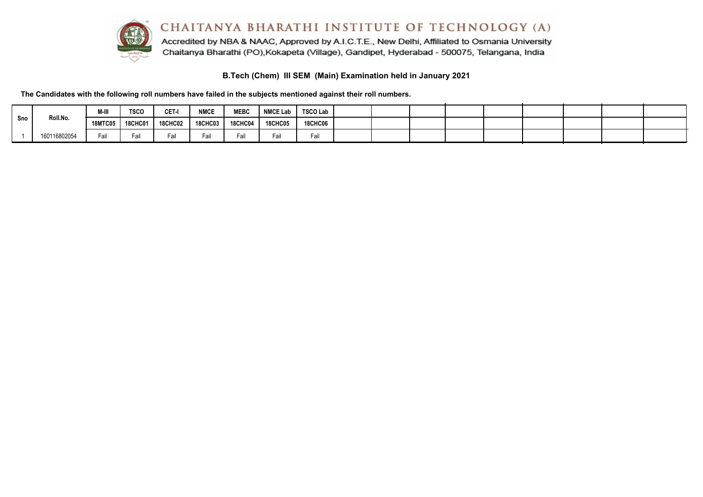

#### **B.Tech (Chem) III SEM (Main) Examination held in January 2021**

**The Candidates with the following roll numbers have failed in the subjects mentioned against their roll numbers.**

|     |              | M-III          | <b>TSCO</b> | CET-I          | <b>NMCE</b>    | <b>MEBC</b>    | <b>NMCE Lab</b> | <b>TSCO Lab</b> |  |  |  |  |  |
|-----|--------------|----------------|-------------|----------------|----------------|----------------|-----------------|-----------------|--|--|--|--|--|
| Sno | Roll.No.     | <b>18MTC05</b> | 18CHC01     | <b>18CHC02</b> | <b>18CHC03</b> | <b>18CHC04</b> | <b>18CHC05</b>  | <b>18CHC06</b>  |  |  |  |  |  |
|     | 160116802054 | ≡∽il<br>all    | Fai         |                | -all           | ⊢aıl           |                 | Fail            |  |  |  |  |  |

 $\sim$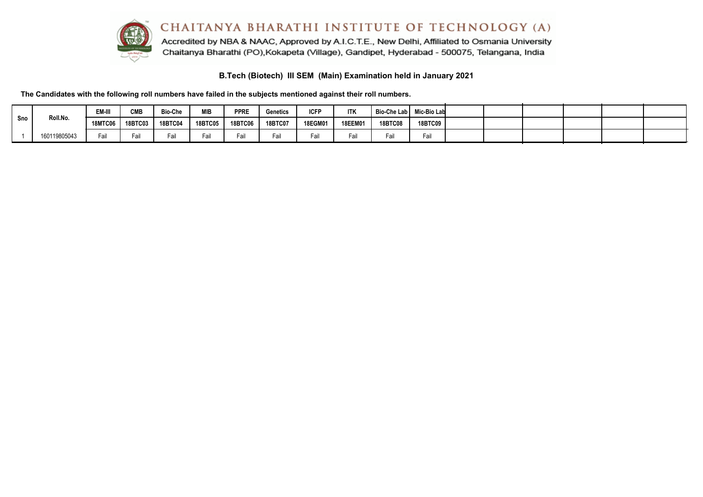

Accredited by NBA & NAAC, Approved by A.I.C.T.E., New Delhi, Affiliated to Osmania University Chaitanya Bharathi (PO), Kokapeta (Village), Gandipet, Hyderabad - 500075, Telangana, India

**B.Tech (Biotech) III SEM (Main) Examination held in January 2021**

**The Candidates with the following roll numbers have failed in the subjects mentioned against their roll numbers.**

|                 |              | EM-III         | <b>CMB</b>     | <b>Bio-Che</b> | <b>MIB</b>     | <b>PPRE</b>    | Genetics       | <b>ICFP</b> | <b>ITK</b>     | Bio-Che Lab I  | Mic-Bio Lab |  |  |  |
|-----------------|--------------|----------------|----------------|----------------|----------------|----------------|----------------|-------------|----------------|----------------|-------------|--|--|--|
| Roll.No.<br>Sno |              | <b>18MTC06</b> | <b>18BTC03</b> | <b>18BTC04</b> | <b>18BTC05</b> | <b>18BTC06</b> | <b>18BTC07</b> | 18EGM01     | <b>18EEM01</b> | <b>18BTC08</b> | 18BTC09 L   |  |  |  |
|                 | 160119805043 | ail            |                | Fail           | Fail           | Fail           | Fail           | Fai         | Fai            | all            | Fail        |  |  |  |

 $\sim$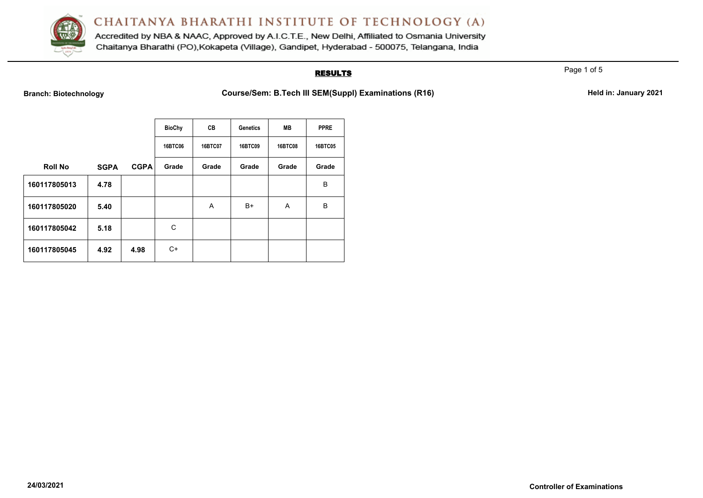

Accredited by NBA & NAAC, Approved by A.I.C.T.E., New Delhi, Affiliated to Osmania University Chaitanya Bharathi (PO), Kokapeta (Village), Gandipet, Hyderabad - 500075, Telangana, India

## **RESULTS**

Page 1 of 5

**Branch: Biotechnology Course/Sem: B.Tech III SEM(Suppl) Examinations (R16) Held in: January 2021** 

|                |             |             | <b>BioChy</b> | CВ      | <b>Genetics</b> | <b>MB</b>      | <b>PPRE</b> |
|----------------|-------------|-------------|---------------|---------|-----------------|----------------|-------------|
|                |             |             | 16BTC06       | 16BTC07 | <b>16BTC09</b>  | <b>16BTC08</b> | 16BTC05     |
| <b>Roll No</b> | <b>SGPA</b> | <b>CGPA</b> | Grade         | Grade   | Grade           | Grade          | Grade       |
| 160117805013   | 4.78        |             |               |         |                 |                | B           |
| 160117805020   | 5.40        |             |               | A       | $B+$            | A              | B           |
| 160117805042   | 5.18        |             | C             |         |                 |                |             |
| 160117805045   | 4.92        | 4.98        | C+            |         |                 |                |             |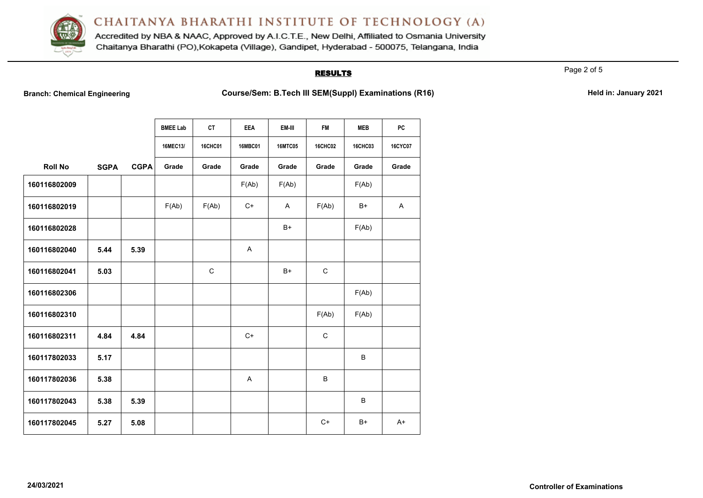

Accredited by NBA & NAAC, Approved by A.I.C.T.E., New Delhi, Affiliated to Osmania University Chaitanya Bharathi (PO), Kokapeta (Village), Gandipet, Hyderabad - 500075, Telangana, India

## **RESULTS**

Page 2 of 5

**Branch: Chemical Engineering <b>Course/Sem: B.Tech III SEM(Suppl) Examinations (R16)** Held in: January 2021

|                |             |             | <b>BMEE Lab</b> | <b>CT</b>      | <b>EEA</b>     | EM-III         | <b>FM</b>      | <b>MEB</b>     | PC             |
|----------------|-------------|-------------|-----------------|----------------|----------------|----------------|----------------|----------------|----------------|
|                |             |             | 16MEC13/        | <b>16CHC01</b> | <b>16MBC01</b> | <b>16MTC05</b> | <b>16CHC02</b> | <b>16CHC03</b> | <b>16CYC07</b> |
| <b>Roll No</b> | <b>SGPA</b> | <b>CGPA</b> | Grade           | Grade          | Grade          | Grade          | Grade          | Grade          | Grade          |
| 160116802009   |             |             |                 |                | F(Ab)          | F(Ab)          |                | F(Ab)          |                |
| 160116802019   |             |             | F(Ab)           | F(Ab)          | $C+$           | A              | F(Ab)          | B+             | A              |
| 160116802028   |             |             |                 |                |                | $B+$           |                | F(Ab)          |                |
| 160116802040   | 5.44        | 5.39        |                 |                | A              |                |                |                |                |
| 160116802041   | 5.03        |             |                 | $\mathsf{C}$   |                | B+             | $\mathsf C$    |                |                |
| 160116802306   |             |             |                 |                |                |                |                | F(Ab)          |                |
| 160116802310   |             |             |                 |                |                |                | F(Ab)          | F(Ab)          |                |
| 160116802311   | 4.84        | 4.84        |                 |                | $C+$           |                | $\mathsf C$    |                |                |
| 160117802033   | 5.17        |             |                 |                |                |                |                | B              |                |
| 160117802036   | 5.38        |             |                 |                | A              |                | B              |                |                |
| 160117802043   | 5.38        | 5.39        |                 |                |                |                |                | B              |                |
| 160117802045   | 5.27        | 5.08        |                 |                |                |                | $C+$           | B+             | $A+$           |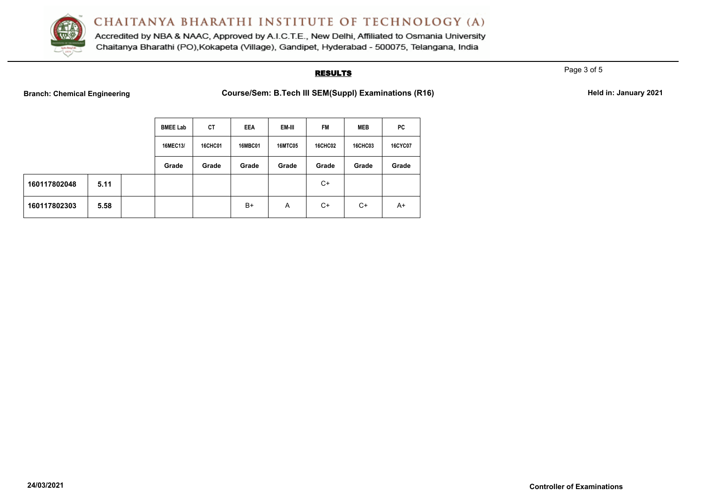

Accredited by NBA & NAAC, Approved by A.I.C.T.E., New Delhi, Affiliated to Osmania University Chaitanya Bharathi (PO), Kokapeta (Village), Gandipet, Hyderabad - 500075, Telangana, India

#### **RESULTS**

Page 3 of 5

**Branch: Chemical Engineering <b>Course/Sem: B.Tech III SEM(Suppl) Examinations (R16)** Held in: January 2021

|              |      | <b>BMEE Lab</b> | <b>CT</b>      | <b>EEA</b>     | EM-III         | <b>FM</b>      | <b>MEB</b>     | PC             |
|--------------|------|-----------------|----------------|----------------|----------------|----------------|----------------|----------------|
|              |      | 16MEC13/        | <b>16CHC01</b> | <b>16MBC01</b> | <b>16MTC05</b> | <b>16CHC02</b> | <b>16CHC03</b> | <b>16CYC07</b> |
|              |      | Grade           | Grade          | Grade          | Grade          | Grade          | Grade          | Grade          |
| 160117802048 | 5.11 |                 |                |                |                | $C+$           |                |                |
| 160117802303 | 5.58 |                 |                | B+             | A              | $C+$           | $C+$           | $A+$           |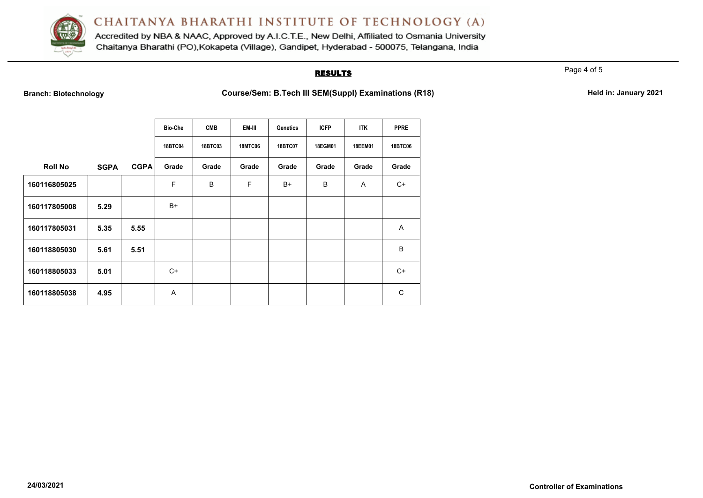

Accredited by NBA & NAAC, Approved by A.I.C.T.E., New Delhi, Affiliated to Osmania University Chaitanya Bharathi (PO), Kokapeta (Village), Gandipet, Hyderabad - 500075, Telangana, India

### **RESULTS**

Page 4 of 5

**Branch: Biotechnology Course/Sem: B.Tech III SEM(Suppl) Examinations (R18) Held in: January 2021** 

|                |             |             | <b>Bio-Che</b> | <b>CMB</b> | EM-III         | Genetics       | <b>ICFP</b>    | ITK     | <b>PPRE</b>    |
|----------------|-------------|-------------|----------------|------------|----------------|----------------|----------------|---------|----------------|
|                |             |             | <b>18BTC04</b> | 18BTC03    | <b>18MTC06</b> | <b>18BTC07</b> | <b>18EGM01</b> | 18EEM01 | <b>18BTC06</b> |
| <b>Roll No</b> | <b>SGPA</b> | <b>CGPA</b> | Grade          | Grade      | Grade          | Grade          | Grade          | Grade   | Grade          |
| 160116805025   |             |             | F              | B          | F              | $B+$           | B              | Α       | $C+$           |
| 160117805008   | 5.29        |             | B+             |            |                |                |                |         |                |
| 160117805031   | 5.35        | 5.55        |                |            |                |                |                |         | A              |
| 160118805030   | 5.61        | 5.51        |                |            |                |                |                |         | B              |
| 160118805033   | 5.01        |             | $C+$           |            |                |                |                |         | $C+$           |
| 160118805038   | 4.95        |             | Α              |            |                |                |                |         | C              |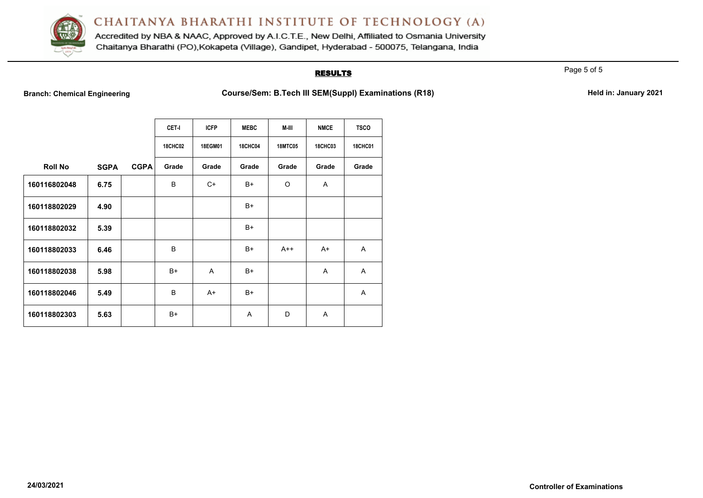

Accredited by NBA & NAAC, Approved by A.I.C.T.E., New Delhi, Affiliated to Osmania University Chaitanya Bharathi (PO), Kokapeta (Village), Gandipet, Hyderabad - 500075, Telangana, India

#### **RESULTS**

Page 5 of 5

**Branch: Chemical Engineering <b>Course/Sem: B.Tech III SEM(Suppl) Examinations (R18) Held in: January 2021** 

|                |             |             | <b>CET-I</b><br><b>18CHC02</b> | <b>ICFP</b><br>18EGM01 | <b>MEBC</b><br><b>18CHC04</b> | M-III<br><b>18MTC05</b> | <b>NMCE</b><br><b>18CHC03</b> | <b>TSCO</b><br><b>18CHC01</b> |
|----------------|-------------|-------------|--------------------------------|------------------------|-------------------------------|-------------------------|-------------------------------|-------------------------------|
| <b>Roll No</b> | <b>SGPA</b> | <b>CGPA</b> | Grade                          | Grade                  | Grade                         | Grade                   | Grade                         | Grade                         |
| 160116802048   | 6.75        |             | B                              | $C+$                   | $B+$                          | O                       | A                             |                               |
| 160118802029   | 4.90        |             |                                |                        | $B+$                          |                         |                               |                               |
| 160118802032   | 5.39        |             |                                |                        | $B+$                          |                         |                               |                               |
| 160118802033   | 6.46        |             | B                              |                        | $B+$                          | $A++$                   | A+                            | A                             |
| 160118802038   | 5.98        |             | $B+$                           | A                      | $B+$                          |                         | A                             | A                             |
| 160118802046   | 5.49        |             | B                              | A+                     | $B+$                          |                         |                               | A                             |
| 160118802303   | 5.63        |             | $B+$                           |                        | A                             | D                       | A                             |                               |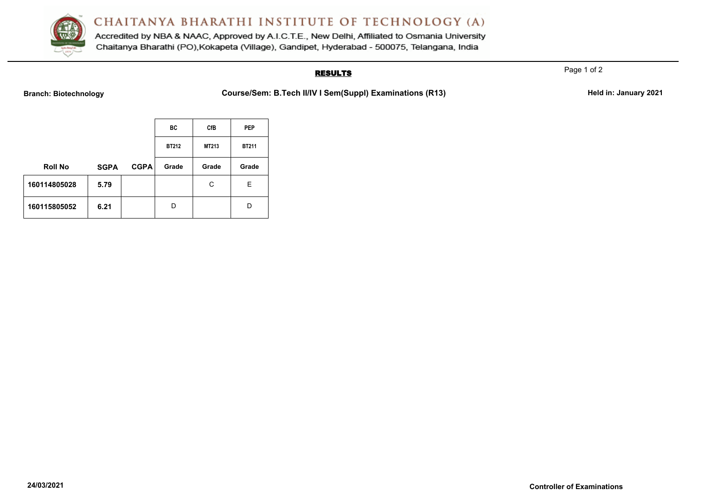

Accredited by NBA & NAAC, Approved by A.I.C.T.E., New Delhi, Affiliated to Osmania University Chaitanya Bharathi (PO), Kokapeta (Village), Gandipet, Hyderabad - 500075, Telangana, India

## **RESULTS**

Page 1 of 2

Branch: Biotechnology **Course/Sem: B.Tech II/IV I Sem(Suppl) Examinations (R13)** Held in: January 2021

|                |             |             | BC           | <b>CfB</b> | <b>PEP</b>   |
|----------------|-------------|-------------|--------------|------------|--------------|
|                |             |             | <b>BT212</b> | MT213      | <b>BT211</b> |
| <b>Roll No</b> | <b>SGPA</b> | <b>CGPA</b> | Grade        | Grade      | Grade        |
| 160114805028   | 5.79        |             |              | C          | Е            |
| 160115805052   | 6.21        |             | D            |            | D            |